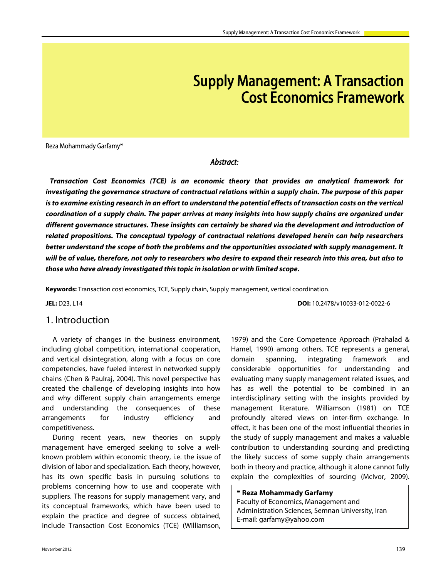# Supply Management: A Transaction Cost Economics Framework

Reza Mohammady Garfamy\*

#### *Abstract:*

**Transaction Cost Economics (TCE) is an economic theory that provides an analytical framework for investigating the governance structure of contractual relations within a supply chain. The purpose of this paper is to examine existing research in an effort to understand the potential effects of transaction costs on the vertical coordination of a supply chain. The paper arrives at many insights into how supply chains are organized under different governance structures. These insights can certainly be shared via the development and introduction of related propositions. The conceptual typology of contractual relations developed herein can help researchers better understand the scope of both the problems and the opportunities associated with supply management. It will be of value, therefore, not only to researchers who desire to expand their research into this area, but also to those who have already investigated this topic in isolation or with limited scope.** 

**Keywords:** Transaction cost economics, TCE, Supply chain, Supply management, vertical coordination.

**JEL:** D23, L14 **DOI:** 10.2478/v10033-012-0022-6

# 1. Introduction

A variety of changes in the business environment, including global competition, international cooperation, and vertical disintegration, along with a focus on core competencies, have fueled interest in networked supply chains (Chen & Paulraj, 2004). This novel perspective has created the challenge of developing insights into how and why different supply chain arrangements emerge and understanding the consequences of these arrangements for industry efficiency and competitiveness.

During recent years, new theories on supply management have emerged seeking to solve a wellknown problem within economic theory, i.e. the issue of division of labor and specialization. Each theory, however, has its own specific basis in pursuing solutions to problems concerning how to use and cooperate with suppliers. The reasons for supply management vary, and its conceptual frameworks, which have been used to explain the practice and degree of success obtained, include Transaction Cost Economics (TCE) (Williamson, 1979) and the Core Competence Approach (Prahalad & Hamel, 1990) among others. TCE represents a general, domain spanning, integrating framework and considerable opportunities for understanding and evaluating many supply management related issues, and has as well the potential to be combined in an interdisciplinary setting with the insights provided by management literature. Williamson (1981) on TCE profoundly altered views on inter-firm exchange. In effect, it has been one of the most influential theories in the study of supply management and makes a valuable contribution to understanding sourcing and predicting the likely success of some supply chain arrangements both in theory and practice, although it alone cannot fully explain the complexities of sourcing (McIvor, 2009).

**\* Reza Mohammady Garfamy**  Faculty of Economics, Management and Administration Sciences, Semnan University, Iran E-mail: garfamy@yahoo.com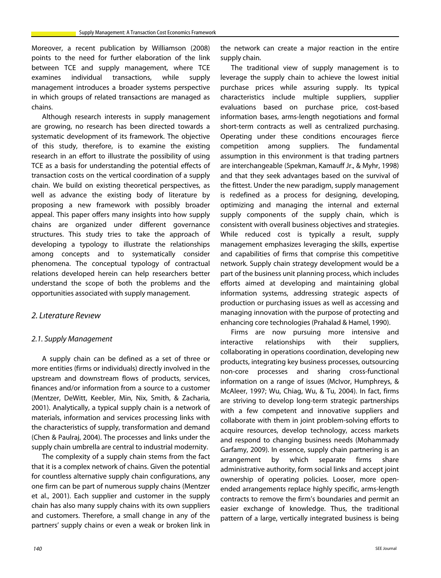Moreover, a recent publication by Williamson (2008) points to the need for further elaboration of the link between TCE and supply management, where TCE examines individual transactions, while supply management introduces a broader systems perspective in which groups of related transactions are managed as chains.

Although research interests in supply management are growing, no research has been directed towards a systematic development of its framework. The objective of this study, therefore, is to examine the existing research in an effort to illustrate the possibility of using TCE as a basis for understanding the potential effects of transaction costs on the vertical coordination of a supply chain. We build on existing theoretical perspectives, as well as advance the existing body of literature by proposing a new framework with possibly broader appeal. This paper offers many insights into how supply chains are organized under different governance structures. This study tries to take the approach of developing a typology to illustrate the relationships among concepts and to systematically consider phenomena. The conceptual typology of contractual relations developed herein can help researchers better understand the scope of both the problems and the opportunities associated with supply management.

## 2. Lıterature Revıew

## 2.1. Supply Management

A supply chain can be defined as a set of three or more entities (firms or individuals) directly involved in the upstream and downstream flows of products, services, finances and/or information from a source to a customer (Mentzer, DeWitt, Keebler, Min, Nix, Smith, & Zacharia, 2001). Analytically, a typical supply chain is a network of materials, information and services processing links with the characteristics of supply, transformation and demand (Chen & Paulraj, 2004). The processes and links under the supply chain umbrella are central to industrial modernity.

The complexity of a supply chain stems from the fact that it is a complex network of chains. Given the potential for countless alternative supply chain configurations, any one firm can be part of numerous supply chains (Mentzer et al., 2001). Each supplier and customer in the supply chain has also many supply chains with its own suppliers and customers. Therefore, a small change in any of the partners' supply chains or even a weak or broken link in

the network can create a major reaction in the entire supply chain.

The traditional view of supply management is to leverage the supply chain to achieve the lowest initial purchase prices while assuring supply. Its typical characteristics include multiple suppliers, supplier evaluations based on purchase price, cost-based information bases, arms-length negotiations and formal short-term contracts as well as centralized purchasing. Operating under these conditions encourages fierce competition among suppliers. The fundamental assumption in this environment is that trading partners are interchangeable (Spekman, Kamauff Jr., & Myhr, 1998) and that they seek advantages based on the survival of the fittest. Under the new paradigm, supply management is redefined as a process for designing, developing, optimizing and managing the internal and external supply components of the supply chain, which is consistent with overall business objectives and strategies. While reduced cost is typically a result, supply management emphasizes leveraging the skills, expertise and capabilities of firms that comprise this competitive network. Supply chain strategy development would be a part of the business unit planning process, which includes efforts aimed at developing and maintaining global information systems, addressing strategic aspects of production or purchasing issues as well as accessing and managing innovation with the purpose of protecting and enhancing core technologies (Prahalad & Hamel, 1990).

Firms are now pursuing more intensive and interactive relationships with their suppliers, collaborating in operations coordination, developing new products, integrating key business processes, outsourcing non-core processes and sharing cross-functional information on a range of issues (McIvor, Humphreys, & McAleer, 1997; Wu, Chiag, Wu, & Tu, 2004). In fact, firms are striving to develop long-term strategic partnerships with a few competent and innovative suppliers and collaborate with them in joint problem-solving efforts to acquire resources, develop technology, access markets and respond to changing business needs (Mohammady Garfamy, 2009). In essence, supply chain partnering is an arrangement by which separate firms share administrative authority, form social links and accept joint ownership of operating policies. Looser, more openended arrangements replace highly specific, arms-length contracts to remove the firm's boundaries and permit an easier exchange of knowledge. Thus, the traditional pattern of a large, vertically integrated business is being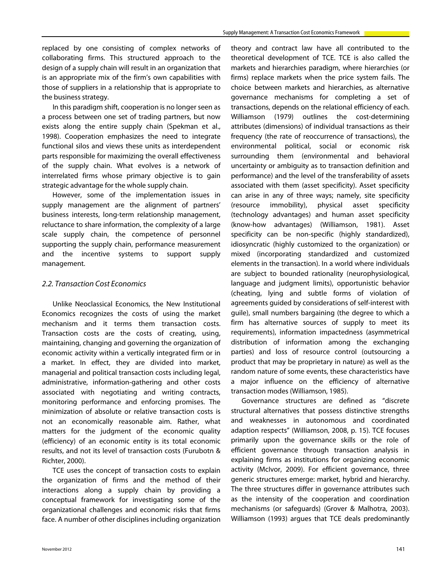theory and contract law have all contributed to the

replaced by one consisting of complex networks of collaborating firms. This structured approach to the design of a supply chain will result in an organization that is an appropriate mix of the firm's own capabilities with those of suppliers in a relationship that is appropriate to the business strategy.

In this paradigm shift, cooperation is no longer seen as a process between one set of trading partners, but now exists along the entire supply chain (Spekman et al., 1998). Cooperation emphasizes the need to integrate functional silos and views these units as interdependent parts responsible for maximizing the overall effectiveness of the supply chain. What evolves is a network of interrelated firms whose primary objective is to gain strategic advantage for the whole supply chain.

However, some of the implementation issues in supply management are the alignment of partners' business interests, long-term relationship management, reluctance to share information, the complexity of a large scale supply chain, the competence of personnel supporting the supply chain, performance measurement and the incentive systems to support supply management.

#### 2.2. Transaction Cost Economics

Unlike Neoclassical Economics, the New Institutional Economics recognizes the costs of using the market mechanism and it terms them transaction costs. Transaction costs are the costs of creating, using, maintaining, changing and governing the organization of economic activity within a vertically integrated firm or in a market. In effect, they are divided into market, managerial and political transaction costs including legal, administrative, information-gathering and other costs associated with negotiating and writing contracts, monitoring performance and enforcing promises. The minimization of absolute or relative transaction costs is not an economically reasonable aim. Rather, what matters for the judgment of the economic quality (efficiency) of an economic entity is its total economic results, and not its level of transaction costs (Furubotn & Richter, 2000).

TCE uses the concept of transaction costs to explain the organization of firms and the method of their interactions along a supply chain by providing a conceptual framework for investigating some of the organizational challenges and economic risks that firms face. A number of other disciplines including organization theoretical development of TCE. TCE is also called the markets and hierarchies paradigm, where hierarchies (or firms) replace markets when the price system fails. The choice between markets and hierarchies, as alternative governance mechanisms for completing a set of transactions, depends on the relational efficiency of each. Williamson (1979) outlines the cost-determining attributes (dimensions) of individual transactions as their frequency (the rate of reoccurrence of transactions), the environmental political, social or economic risk surrounding them (environmental and behavioral uncertainty or ambiguity as to transaction definition and performance) and the level of the transferability of assets associated with them (asset specificity). Asset specificity can arise in any of three ways; namely, site specificity (resource immobility), physical asset specificity (technology advantages) and human asset specificity (know-how advantages) (Williamson, 1981). Asset specificity can be non-specific (highly standardized), idiosyncratic (highly customized to the organization) or mixed (incorporating standardized and customized elements in the transaction). In a world where individuals are subject to bounded rationality (neurophysiological, language and judgment limits), opportunistic behavior (cheating, lying and subtle forms of violation of agreements guided by considerations of self-interest with guile), small numbers bargaining (the degree to which a firm has alternative sources of supply to meet its requirements), information impactedness (asymmetrical distribution of information among the exchanging parties) and loss of resource control (outsourcing a product that may be proprietary in nature) as well as the random nature of some events, these characteristics have a major influence on the efficiency of alternative transaction modes (Williamson, 1985).

Governance structures are defined as "discrete structural alternatives that possess distinctive strengths and weaknesses in autonomous and coordinated adaption respects" (Williamson, 2008, p. 15). TCE focuses primarily upon the governance skills or the role of efficient governance through transaction analysis in explaining firms as institutions for organizing economic activity (McIvor, 2009). For efficient governance, three generic structures emerge: market, hybrid and hierarchy. The three structures differ in governance attributes such as the intensity of the cooperation and coordination mechanisms (or safeguards) (Grover & Malhotra, 2003). Williamson (1993) argues that TCE deals predominantly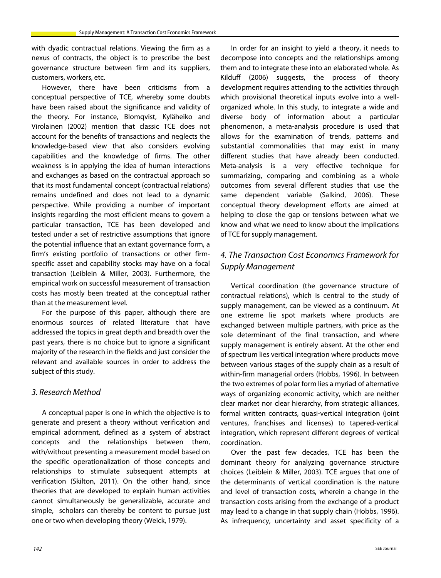with dyadic contractual relations. Viewing the firm as a nexus of contracts, the object is to prescribe the best governance structure between firm and its suppliers, customers, workers, etc.

However, there have been criticisms from a conceptual perspective of TCE, whereby some doubts have been raised about the significance and validity of the theory. For instance, Blomqvist, Kyläheiko and Virolainen (2002) mention that classic TCE does not account for the benefits of transactions and neglects the knowledge-based view that also considers evolving capabilities and the knowledge of firms. The other weakness is in applying the idea of human interactions and exchanges as based on the contractual approach so that its most fundamental concept (contractual relations) remains undefined and does not lead to a dynamic perspective. While providing a number of important insights regarding the most efficient means to govern a particular transaction, TCE has been developed and tested under a set of restrictive assumptions that ignore the potential influence that an extant governance form, a firm's existing portfolio of transactions or other firmspecific asset and capability stocks may have on a focal transaction (Leiblein & Miller, 2003). Furthermore, the empirical work on successful measurement of transaction costs has mostly been treated at the conceptual rather than at the measurement level.

For the purpose of this paper, although there are enormous sources of related literature that have addressed the topics in great depth and breadth over the past years, there is no choice but to ignore a significant majority of the research in the fields and just consider the relevant and available sources in order to address the subject of this study.

# 3. Research Method

A conceptual paper is one in which the objective is to generate and present a theory without verification and empirical adornment, defined as a system of abstract concepts and the relationships between them, with/without presenting a measurement model based on the specific operationalization of those concepts and relationships to stimulate subsequent attempts at verification (Skilton, 2011). On the other hand, since theories that are developed to explain human activities cannot simultaneously be generalizable, accurate and simple, scholars can thereby be content to pursue just one or two when developing theory (Weick, 1979).

In order for an insight to yield a theory, it needs to decompose into concepts and the relationships among them and to integrate these into an elaborated whole. As Kilduff (2006) suggests, the process of theory development requires attending to the activities through which provisional theoretical inputs evolve into a wellorganized whole. In this study, to integrate a wide and diverse body of information about a particular phenomenon, a meta-analysis procedure is used that allows for the examination of trends, patterns and substantial commonalities that may exist in many different studies that have already been conducted. Meta-analysis is a very effective technique for summarizing, comparing and combining as a whole outcomes from several different studies that use the same dependent variable (Salkind, 2006). These conceptual theory development efforts are aimed at helping to close the gap or tensions between what we know and what we need to know about the implications of TCE for supply management.

# 4. The Transactıon Cost Economıcs Framework for Supply Management

Vertical coordination (the governance structure of contractual relations), which is central to the study of supply management, can be viewed as a continuum. At one extreme lie spot markets where products are exchanged between multiple partners, with price as the sole determinant of the final transaction, and where supply management is entirely absent. At the other end of spectrum lies vertical integration where products move between various stages of the supply chain as a result of within-firm managerial orders (Hobbs, 1996). In between the two extremes of polar form lies a myriad of alternative ways of organizing economic activity, which are neither clear market nor clear hierarchy, from strategic alliances, formal written contracts, quasi-vertical integration (joint ventures, franchises and licenses) to tapered-vertical integration, which represent different degrees of vertical coordination.

Over the past few decades, TCE has been the dominant theory for analyzing governance structure choices (Leiblein & Miller, 2003). TCE argues that one of the determinants of vertical coordination is the nature and level of transaction costs, wherein a change in the transaction costs arising from the exchange of a product may lead to a change in that supply chain (Hobbs, 1996). As infrequency, uncertainty and asset specificity of a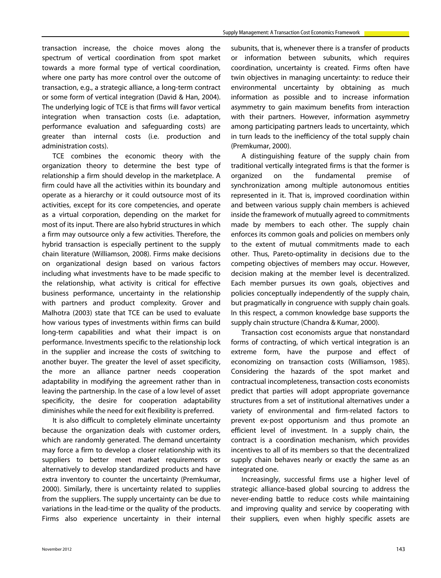transaction increase, the choice moves along the spectrum of vertical coordination from spot market towards a more formal type of vertical coordination, where one party has more control over the outcome of transaction, e.g., a strategic alliance, a long-term contract or some form of vertical integration (David & Han, 2004). The underlying logic of TCE is that firms will favor vertical integration when transaction costs (i.e. adaptation, performance evaluation and safeguarding costs) are greater than internal costs (i.e. production and administration costs).

TCE combines the economic theory with the organization theory to determine the best type of relationship a firm should develop in the marketplace. A firm could have all the activities within its boundary and operate as a hierarchy or it could outsource most of its activities, except for its core competencies, and operate as a virtual corporation, depending on the market for most of its input. There are also hybrid structures in which a firm may outsource only a few activities. Therefore, the hybrid transaction is especially pertinent to the supply chain literature (Williamson, 2008). Firms make decisions on organizational design based on various factors including what investments have to be made specific to the relationship, what activity is critical for effective business performance, uncertainty in the relationship with partners and product complexity. Grover and Malhotra (2003) state that TCE can be used to evaluate how various types of investments within firms can build long-term capabilities and what their impact is on performance. Investments specific to the relationship lock in the supplier and increase the costs of switching to another buyer. The greater the level of asset specificity, the more an alliance partner needs cooperation adaptability in modifying the agreement rather than in leaving the partnership. In the case of a low level of asset specificity, the desire for cooperation adaptability diminishes while the need for exit flexibility is preferred.

It is also difficult to completely eliminate uncertainty because the organization deals with customer orders, which are randomly generated. The demand uncertainty may force a firm to develop a closer relationship with its suppliers to better meet market requirements or alternatively to develop standardized products and have extra inventory to counter the uncertainty (Premkumar, 2000). Similarly, there is uncertainty related to supplies from the suppliers. The supply uncertainty can be due to variations in the lead-time or the quality of the products. Firms also experience uncertainty in their internal subunits, that is, whenever there is a transfer of products or information between subunits, which requires coordination, uncertainty is created. Firms often have twin objectives in managing uncertainty: to reduce their environmental uncertainty by obtaining as much information as possible and to increase information asymmetry to gain maximum benefits from interaction with their partners. However, information asymmetry among participating partners leads to uncertainty, which in turn leads to the inefficiency of the total supply chain (Premkumar, 2000).

A distinguishing feature of the supply chain from traditional vertically integrated firms is that the former is organized on the fundamental premise of synchronization among multiple autonomous entities represented in it. That is, improved coordination within and between various supply chain members is achieved inside the framework of mutually agreed to commitments made by members to each other. The supply chain enforces its common goals and policies on members only to the extent of mutual commitments made to each other. Thus, Pareto-optimality in decisions due to the competing objectives of members may occur. However, decision making at the member level is decentralized. Each member pursues its own goals, objectives and policies conceptually independently of the supply chain, but pragmatically in congruence with supply chain goals. In this respect, a common knowledge base supports the supply chain structure (Chandra & Kumar, 2000).

Transaction cost economists argue that nonstandard forms of contracting, of which vertical integration is an extreme form, have the purpose and effect of economizing on transaction costs (Williamson, 1985). Considering the hazards of the spot market and contractual incompleteness, transaction costs economists predict that parties will adopt appropriate governance structures from a set of institutional alternatives under a variety of environmental and firm-related factors to prevent ex-post opportunism and thus promote an efficient level of investment. In a supply chain, the contract is a coordination mechanism, which provides incentives to all of its members so that the decentralized supply chain behaves nearly or exactly the same as an integrated one.

Increasingly, successful firms use a higher level of strategic alliance-based global sourcing to address the never-ending battle to reduce costs while maintaining and improving quality and service by cooperating with their suppliers, even when highly specific assets are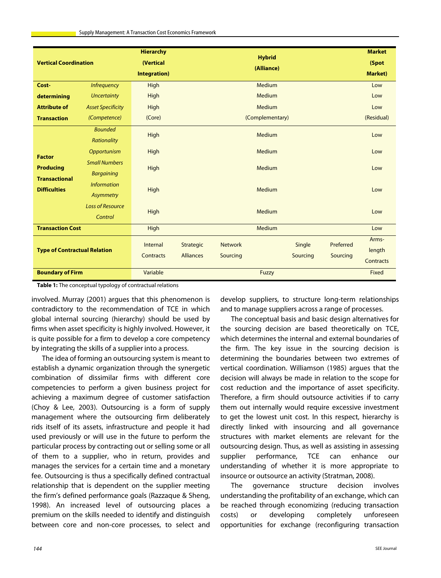| <b>Vertical Coordination</b>                                                     |                          | <b>Hierarchy</b> |                  | <b>Hybrid</b>  |        |          |           | <b>Market</b>   |
|----------------------------------------------------------------------------------|--------------------------|------------------|------------------|----------------|--------|----------|-----------|-----------------|
|                                                                                  |                          | (Vertical        |                  | (Alliance)     |        |          | (Spot     |                 |
|                                                                                  |                          | Integration)     |                  |                |        |          |           | <b>Market</b> ) |
| Cost-                                                                            | <b>Infrequency</b>       | High             | Medium           |                |        |          |           | Low             |
| determining                                                                      | <b>Uncertainty</b>       | High             | Medium           |                |        |          |           | Low             |
| <b>Attribute of</b>                                                              | <b>Asset Specificity</b> | High             | Medium           |                |        |          |           | Low             |
| <b>Transaction</b>                                                               | (Competence)             | (Core)           | (Complementary)  |                |        |          |           | (Residual)      |
| <b>Factor</b><br><b>Producing</b><br><b>Transactional</b><br><b>Difficulties</b> | <b>Bounded</b>           | High             |                  |                | Medium |          |           | Low             |
|                                                                                  | Rationality              |                  |                  |                |        |          |           |                 |
|                                                                                  | Opportunism              | High             |                  |                | Medium |          |           | Low             |
|                                                                                  | <b>Small Numbers</b>     | High             | Medium           |                |        |          |           | Low             |
|                                                                                  | <b>Bargaining</b>        |                  |                  |                |        |          |           |                 |
|                                                                                  | <b>Information</b>       | High             | Medium           |                |        |          |           | Low             |
|                                                                                  | Asymmetry                |                  |                  |                |        |          |           |                 |
|                                                                                  | <b>Loss of Resource</b>  | High             | Medium           |                |        |          | Low       |                 |
|                                                                                  | Control                  |                  |                  |                |        |          |           |                 |
| <b>Transaction Cost</b>                                                          |                          | High             |                  |                | Medium |          |           | Low             |
| <b>Type of Contractual Relation</b>                                              |                          | Internal         | Strategic        | <b>Network</b> |        | Single   | Preferred | Arms-           |
|                                                                                  |                          | Contracts        | <b>Alliances</b> | Sourcing       |        | Sourcing | Sourcing  | length          |
|                                                                                  |                          |                  |                  |                |        |          |           | Contracts       |
| <b>Boundary of Firm</b>                                                          |                          | Variable         |                  |                | Fuzzy  |          |           | Fixed           |

**Table 1:** The conceptual typology of contractual relations

involved. Murray (2001) argues that this phenomenon is contradictory to the recommendation of TCE in which global internal sourcing (hierarchy) should be used by firms when asset specificity is highly involved. However, it is quite possible for a firm to develop a core competency by integrating the skills of a supplier into a process.

The idea of forming an outsourcing system is meant to establish a dynamic organization through the synergetic combination of dissimilar firms with different core competencies to perform a given business project for achieving a maximum degree of customer satisfaction (Choy & Lee, 2003). Outsourcing is a form of supply management where the outsourcing firm deliberately rids itself of its assets, infrastructure and people it had used previously or will use in the future to perform the particular process by contracting out or selling some or all of them to a supplier, who in return, provides and manages the services for a certain time and a monetary fee. Outsourcing is thus a specifically defined contractual relationship that is dependent on the supplier meeting the firm's defined performance goals (Razzaque & Sheng, 1998). An increased level of outsourcing places a premium on the skills needed to identify and distinguish between core and non-core processes, to select and develop suppliers, to structure long-term relationships and to manage suppliers across a range of processes.

The conceptual basis and basic design alternatives for the sourcing decision are based theoretically on TCE, which determines the internal and external boundaries of the firm. The key issue in the sourcing decision is determining the boundaries between two extremes of vertical coordination. Williamson (1985) argues that the decision will always be made in relation to the scope for cost reduction and the importance of asset specificity. Therefore, a firm should outsource activities if to carry them out internally would require excessive investment to get the lowest unit cost. In this respect, hierarchy is directly linked with insourcing and all governance structures with market elements are relevant for the outsourcing design. Thus, as well as assisting in assessing supplier performance, TCE can enhance our understanding of whether it is more appropriate to insource or outsource an activity (Stratman, 2008).

The governance structure decision involves understanding the profitability of an exchange, which can be reached through economizing (reducing transaction costs) or developing completely unforeseen opportunities for exchange (reconfiguring transaction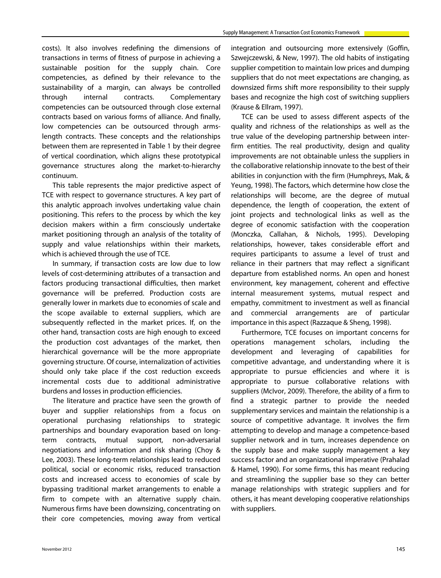costs). It also involves redefining the dimensions of transactions in terms of fitness of purpose in achieving a sustainable position for the supply chain. Core competencies, as defined by their relevance to the sustainability of a margin, can always be controlled through internal contracts. Complementary competencies can be outsourced through close external contracts based on various forms of alliance. And finally, low competencies can be outsourced through armslength contracts. These concepts and the relationships between them are represented in Table 1 by their degree of vertical coordination, which aligns these prototypical governance structures along the market-to-hierarchy continuum.

This table represents the major predictive aspect of TCE with respect to governance structures. A key part of this analytic approach involves undertaking value chain positioning. This refers to the process by which the key decision makers within a firm consciously undertake market positioning through an analysis of the totality of supply and value relationships within their markets, which is achieved through the use of TCE.

In summary, if transaction costs are low due to low levels of cost-determining attributes of a transaction and factors producing transactional difficulties, then market governance will be preferred. Production costs are generally lower in markets due to economies of scale and the scope available to external suppliers, which are subsequently reflected in the market prices. If, on the other hand, transaction costs are high enough to exceed the production cost advantages of the market, then hierarchical governance will be the more appropriate governing structure. Of course, internalization of activities should only take place if the cost reduction exceeds incremental costs due to additional administrative burdens and losses in production efficiencies.

The literature and practice have seen the growth of buyer and supplier relationships from a focus on operational purchasing relationships to strategic partnerships and boundary evaporation based on longterm contracts, mutual support, non-adversarial negotiations and information and risk sharing (Choy & Lee, 2003). These long-term relationships lead to reduced political, social or economic risks, reduced transaction costs and increased access to economies of scale by bypassing traditional market arrangements to enable a firm to compete with an alternative supply chain. Numerous firms have been downsizing, concentrating on their core competencies, moving away from vertical integration and outsourcing more extensively (Goffin, Szwejczewski, & New, 1997). The old habits of instigating supplier competition to maintain low prices and dumping suppliers that do not meet expectations are changing, as downsized firms shift more responsibility to their supply bases and recognize the high cost of switching suppliers (Krause & Ellram, 1997).

TCE can be used to assess different aspects of the quality and richness of the relationships as well as the true value of the developing partnership between interfirm entities. The real productivity, design and quality improvements are not obtainable unless the suppliers in the collaborative relationship innovate to the best of their abilities in conjunction with the firm (Humphreys, Mak, & Yeung, 1998). The factors, which determine how close the relationships will become, are the degree of mutual dependence, the length of cooperation, the extent of joint projects and technological links as well as the degree of economic satisfaction with the cooperation (Monczka, Callahan, & Nichols, 1995). Developing relationships, however, takes considerable effort and requires participants to assume a level of trust and reliance in their partners that may reflect a significant departure from established norms. An open and honest environment, key management, coherent and effective internal measurement systems, mutual respect and empathy, commitment to investment as well as financial and commercial arrangements are of particular importance in this aspect (Razzaque & Sheng, 1998).

Furthermore, TCE focuses on important concerns for operations management scholars, including the development and leveraging of capabilities for competitive advantage, and understanding where it is appropriate to pursue efficiencies and where it is appropriate to pursue collaborative relations with suppliers (McIvor, 2009). Therefore, the ability of a firm to find a strategic partner to provide the needed supplementary services and maintain the relationship is a source of competitive advantage. It involves the firm attempting to develop and manage a competence-based supplier network and in turn, increases dependence on the supply base and make supply management a key success factor and an organizational imperative (Prahalad & Hamel, 1990). For some firms, this has meant reducing and streamlining the supplier base so they can better manage relationships with strategic suppliers and for others, it has meant developing cooperative relationships with suppliers.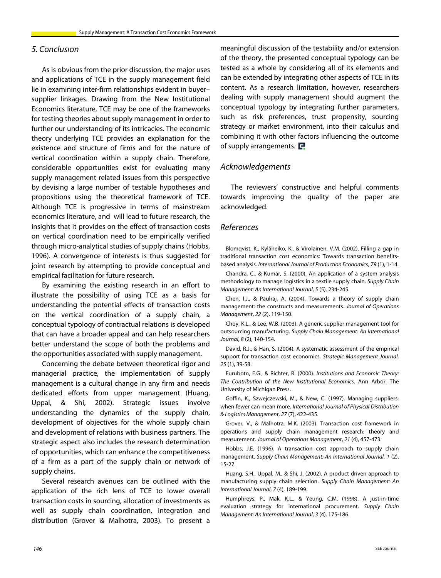## 5. Conclusıon

As is obvious from the prior discussion, the major uses and applications of TCE in the supply management field lie in examining inter-firm relationships evident in buyer– supplier linkages. Drawing from the New Institutional Economics literature, TCE may be one of the frameworks for testing theories about supply management in order to further our understanding of its intricacies. The economic theory underlying TCE provides an explanation for the existence and structure of firms and for the nature of vertical coordination within a supply chain. Therefore, considerable opportunities exist for evaluating many supply management related issues from this perspective by devising a large number of testable hypotheses and propositions using the theoretical framework of TCE. Although TCE is progressive in terms of mainstream economics literature, and will lead to future research, the insights that it provides on the effect of transaction costs on vertical coordination need to be empirically verified through micro-analytical studies of supply chains (Hobbs, 1996). A convergence of interests is thus suggested for joint research by attempting to provide conceptual and empirical facilitation for future research.

By examining the existing research in an effort to illustrate the possibility of using TCE as a basis for understanding the potential effects of transaction costs on the vertical coordination of a supply chain, a conceptual typology of contractual relations is developed that can have a broader appeal and can help researchers better understand the scope of both the problems and the opportunities associated with supply management.

Concerning the debate between theoretical rigor and managerial practice, the implementation of supply management is a cultural change in any firm and needs dedicated efforts from upper management (Huang, Uppal, & Shi, 2002). Strategic issues involve understanding the dynamics of the supply chain, development of objectives for the whole supply chain and development of relations with business partners. The strategic aspect also includes the research determination of opportunities, which can enhance the competitiveness of a firm as a part of the supply chain or network of supply chains.

Several research avenues can be outlined with the application of the rich lens of TCE to lower overall transaction costs in sourcing, allocation of investments as well as supply chain coordination, integration and distribution (Grover & Malhotra, 2003). To present a

meaningful discussion of the testability and/or extension of the theory, the presented conceptual typology can be tested as a whole by considering all of its elements and can be extended by integrating other aspects of TCE in its content. As a research limitation, however, researchers dealing with supply management should augment the conceptual typology by integrating further parameters, such as risk preferences, trust propensity, sourcing strategy or market environment, into their calculus and combining it with other factors influencing the outcome of supply arrangements.  $\blacksquare$ 

### Acknowledgements

The reviewers' constructive and helpful comments towards improving the quality of the paper are acknowledged.

#### References

Blomqvist, K., Kyläheiko, K., & Virolainen, V.M. (2002). Filling a gap in traditional transaction cost economics: Towards transaction benefitsbased analysis. International Journal of Production Economics, 79 (1), 1-14.

Chandra, C., & Kumar, S. (2000). An application of a system analysis methodology to manage logistics in a textile supply chain. Supply Chain Management: An International Journal, 5 (5), 234-245.

Chen, I.J., & Paulraj, A. (2004). Towards a theory of supply chain management: the constructs and measurements. Journal of Operations Management, 22 (2), 119-150.

Choy, K.L., & Lee, W.B. (2003). A generic supplier management tool for outsourcing manufacturing. Supply Chain Management: An International Journal, 8 (2), 140-154.

David, R.J., & Han, S. (2004). A systematic assessment of the empirical support for transaction cost economics. Strategic Management Journal, 25 (1), 39-58.

Furubotn, E.G., & Richter, R. (2000). Institutions and Economic Theory: The Contribution of the New Institutional Economics. Ann Arbor: The University of Michigan Press.

Goffin, K., Szwejczewski, M., & New, C. (1997). Managing suppliers: when fewer can mean more. International Journal of Physical Distribution & Logistics Management, 27 (7), 422-435.

Grover, V., & Malhotra, M.K. (2003). Transaction cost framework in operations and supply chain management research: theory and measurement. Journal of Operations Management, 21 (4), 457-473.

Hobbs, J.E. (1996). A transaction cost approach to supply chain management. Supply Chain Management: An International Journal, 1 (2), 15-27.

Huang, S.H., Uppal, M., & Shi, J. (2002). A product driven approach to manufacturing supply chain selection. Supply Chain Management: An International Journal, 7 (4), 189-199.

Humphreys, P., Mak, K.L., & Yeung, C.M. (1998). A just-in-time evaluation strategy for international procurement. Supply Chain Management: An International Journal, 3 (4), 175-186.